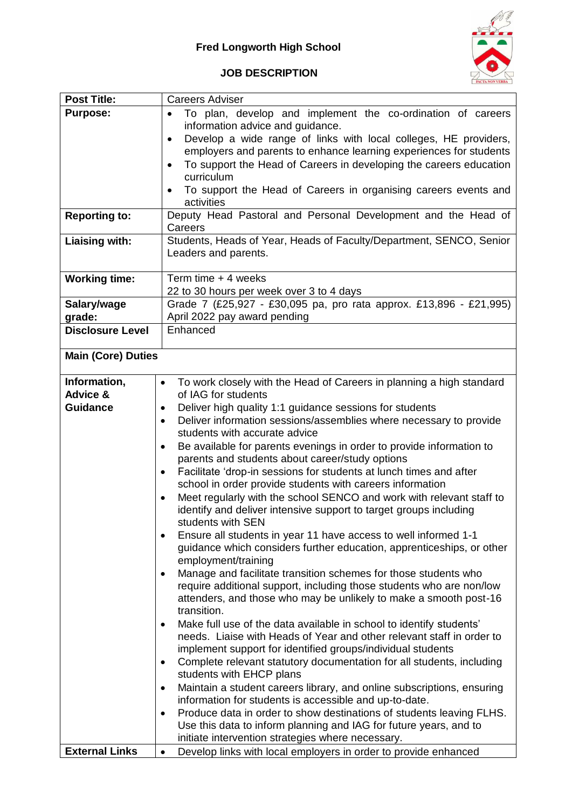

## **JOB DESCRIPTION**

| <b>Post Title:</b>                | <b>Careers Adviser</b>                                                                             |  |  |  |
|-----------------------------------|----------------------------------------------------------------------------------------------------|--|--|--|
| <b>Purpose:</b>                   | To plan, develop and implement the co-ordination of careers                                        |  |  |  |
|                                   | information advice and guidance.                                                                   |  |  |  |
|                                   | Develop a wide range of links with local colleges, HE providers,<br>$\bullet$                      |  |  |  |
|                                   | employers and parents to enhance learning experiences for students                                 |  |  |  |
|                                   | To support the Head of Careers in developing the careers education                                 |  |  |  |
|                                   | curriculum                                                                                         |  |  |  |
|                                   | To support the Head of Careers in organising careers events and<br>$\bullet$                       |  |  |  |
|                                   | activities                                                                                         |  |  |  |
| <b>Reporting to:</b>              | Deputy Head Pastoral and Personal Development and the Head of                                      |  |  |  |
|                                   | Careers                                                                                            |  |  |  |
| Liaising with:                    | Students, Heads of Year, Heads of Faculty/Department, SENCO, Senior                                |  |  |  |
|                                   | Leaders and parents.                                                                               |  |  |  |
|                                   |                                                                                                    |  |  |  |
| <b>Working time:</b>              | Term time + 4 weeks                                                                                |  |  |  |
|                                   | 22 to 30 hours per week over 3 to 4 days                                                           |  |  |  |
| Salary/wage                       | Grade 7 (£25,927 - £30,095 pa, pro rata approx. £13,896 - £21,995)<br>April 2022 pay award pending |  |  |  |
| grade:<br><b>Disclosure Level</b> | Enhanced                                                                                           |  |  |  |
|                                   |                                                                                                    |  |  |  |
| <b>Main (Core) Duties</b>         |                                                                                                    |  |  |  |
|                                   |                                                                                                    |  |  |  |
| Information,                      | To work closely with the Head of Careers in planning a high standard<br>$\bullet$                  |  |  |  |
| Advice &                          | of IAG for students                                                                                |  |  |  |
| <b>Guidance</b>                   | Deliver high quality 1:1 guidance sessions for students<br>٠                                       |  |  |  |
|                                   | Deliver information sessions/assemblies where necessary to provide<br>$\bullet$                    |  |  |  |
|                                   | students with accurate advice                                                                      |  |  |  |
|                                   | Be available for parents evenings in order to provide information to                               |  |  |  |
|                                   | parents and students about career/study options                                                    |  |  |  |
|                                   | Facilitate 'drop-in sessions for students at lunch times and after<br>$\bullet$                    |  |  |  |
|                                   | school in order provide students with careers information                                          |  |  |  |
|                                   | Meet regularly with the school SENCO and work with relevant staff to<br>$\bullet$                  |  |  |  |
|                                   | identify and deliver intensive support to target groups including                                  |  |  |  |
|                                   | students with SEN                                                                                  |  |  |  |
|                                   | Ensure all students in year 11 have access to well informed 1-1                                    |  |  |  |
|                                   | guidance which considers further education, apprenticeships, or other                              |  |  |  |
|                                   | employment/training                                                                                |  |  |  |
|                                   | Manage and facilitate transition schemes for those students who                                    |  |  |  |
|                                   | require additional support, including those students who are non/low                               |  |  |  |
|                                   | attenders, and those who may be unlikely to make a smooth post-16<br>transition.                   |  |  |  |
|                                   | Make full use of the data available in school to identify students'                                |  |  |  |
|                                   | needs. Liaise with Heads of Year and other relevant staff in order to                              |  |  |  |
|                                   | implement support for identified groups/individual students                                        |  |  |  |
|                                   | Complete relevant statutory documentation for all students, including                              |  |  |  |
|                                   | students with EHCP plans                                                                           |  |  |  |
|                                   | Maintain a student careers library, and online subscriptions, ensuring                             |  |  |  |
|                                   | information for students is accessible and up-to-date.                                             |  |  |  |
|                                   | Produce data in order to show destinations of students leaving FLHS.<br>٠                          |  |  |  |
|                                   | Use this data to inform planning and IAG for future years, and to                                  |  |  |  |
|                                   | initiate intervention strategies where necessary.                                                  |  |  |  |
| <b>External Links</b>             | Develop links with local employers in order to provide enhanced<br>$\bullet$                       |  |  |  |
|                                   |                                                                                                    |  |  |  |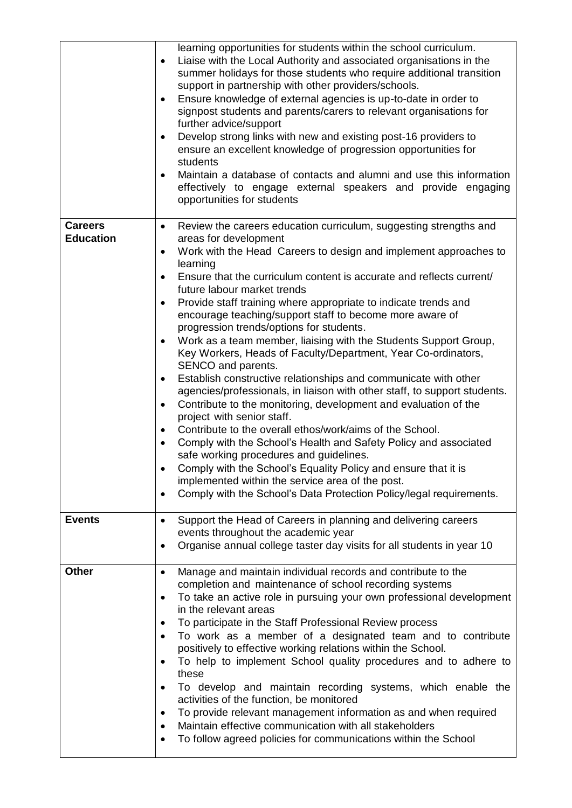|                                    | learning opportunities for students within the school curriculum.<br>Liaise with the Local Authority and associated organisations in the<br>$\bullet$<br>summer holidays for those students who require additional transition<br>support in partnership with other providers/schools.<br>Ensure knowledge of external agencies is up-to-date in order to<br>$\bullet$<br>signpost students and parents/carers to relevant organisations for<br>further advice/support<br>Develop strong links with new and existing post-16 providers to<br>$\bullet$<br>ensure an excellent knowledge of progression opportunities for<br>students<br>Maintain a database of contacts and alumni and use this information<br>$\bullet$<br>effectively to engage external speakers and provide engaging<br>opportunities for students                                                                                                                                                                                                                                                                                                                                                                                                                                                                                                                                                 |
|------------------------------------|-----------------------------------------------------------------------------------------------------------------------------------------------------------------------------------------------------------------------------------------------------------------------------------------------------------------------------------------------------------------------------------------------------------------------------------------------------------------------------------------------------------------------------------------------------------------------------------------------------------------------------------------------------------------------------------------------------------------------------------------------------------------------------------------------------------------------------------------------------------------------------------------------------------------------------------------------------------------------------------------------------------------------------------------------------------------------------------------------------------------------------------------------------------------------------------------------------------------------------------------------------------------------------------------------------------------------------------------------------------------------|
| <b>Careers</b><br><b>Education</b> | Review the careers education curriculum, suggesting strengths and<br>$\bullet$<br>areas for development<br>Work with the Head Careers to design and implement approaches to<br>$\bullet$<br>learning<br>Ensure that the curriculum content is accurate and reflects current/<br>$\bullet$<br>future labour market trends<br>Provide staff training where appropriate to indicate trends and<br>$\bullet$<br>encourage teaching/support staff to become more aware of<br>progression trends/options for students.<br>Work as a team member, liaising with the Students Support Group,<br>$\bullet$<br>Key Workers, Heads of Faculty/Department, Year Co-ordinators,<br>SENCO and parents.<br>Establish constructive relationships and communicate with other<br>$\bullet$<br>agencies/professionals, in liaison with other staff, to support students.<br>Contribute to the monitoring, development and evaluation of the<br>$\bullet$<br>project with senior staff.<br>Contribute to the overall ethos/work/aims of the School.<br>Comply with the School's Health and Safety Policy and associated<br>$\bullet$<br>safe working procedures and guidelines.<br>Comply with the School's Equality Policy and ensure that it is<br>implemented within the service area of the post.<br>Comply with the School's Data Protection Policy/legal requirements.<br>$\bullet$ |
| <b>Events</b>                      | Support the Head of Careers in planning and delivering careers<br>$\bullet$<br>events throughout the academic year<br>Organise annual college taster day visits for all students in year 10<br>٠                                                                                                                                                                                                                                                                                                                                                                                                                                                                                                                                                                                                                                                                                                                                                                                                                                                                                                                                                                                                                                                                                                                                                                      |
| <b>Other</b>                       | Manage and maintain individual records and contribute to the<br>$\bullet$<br>completion and maintenance of school recording systems<br>To take an active role in pursuing your own professional development<br>$\bullet$<br>in the relevant areas<br>To participate in the Staff Professional Review process<br>$\bullet$<br>To work as a member of a designated team and to contribute<br>$\bullet$<br>positively to effective working relations within the School.<br>To help to implement School quality procedures and to adhere to<br>these<br>To develop and maintain recording systems, which enable the<br>$\bullet$<br>activities of the function, be monitored<br>To provide relevant management information as and when required<br>٠<br>Maintain effective communication with all stakeholders<br>٠<br>To follow agreed policies for communications within the School<br>٠                                                                                                                                                                                                                                                                                                                                                                                                                                                                                |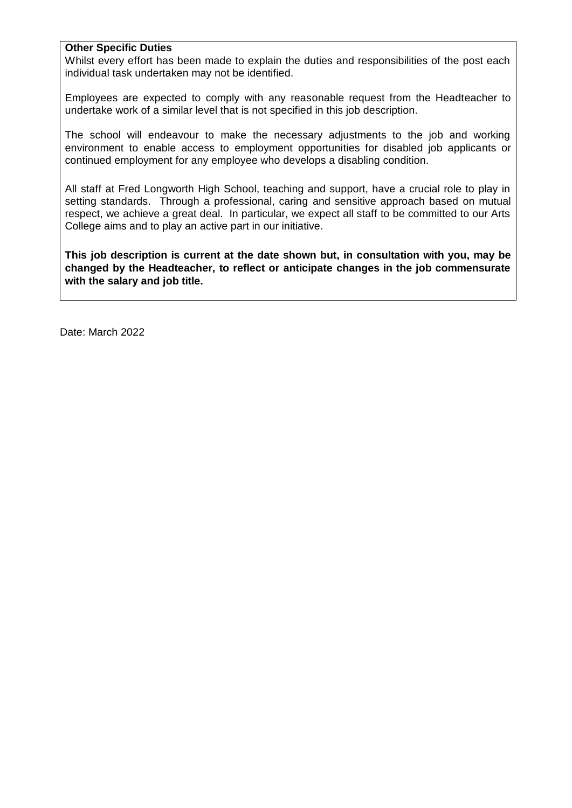## **Other Specific Duties**

Whilst every effort has been made to explain the duties and responsibilities of the post each individual task undertaken may not be identified.

Employees are expected to comply with any reasonable request from the Headteacher to undertake work of a similar level that is not specified in this job description.

The school will endeavour to make the necessary adjustments to the job and working environment to enable access to employment opportunities for disabled job applicants or continued employment for any employee who develops a disabling condition.

All staff at Fred Longworth High School, teaching and support, have a crucial role to play in setting standards. Through a professional, caring and sensitive approach based on mutual respect, we achieve a great deal. In particular, we expect all staff to be committed to our Arts College aims and to play an active part in our initiative.

**This job description is current at the date shown but, in consultation with you, may be changed by the Headteacher, to reflect or anticipate changes in the job commensurate with the salary and job title.**

Date: March 2022